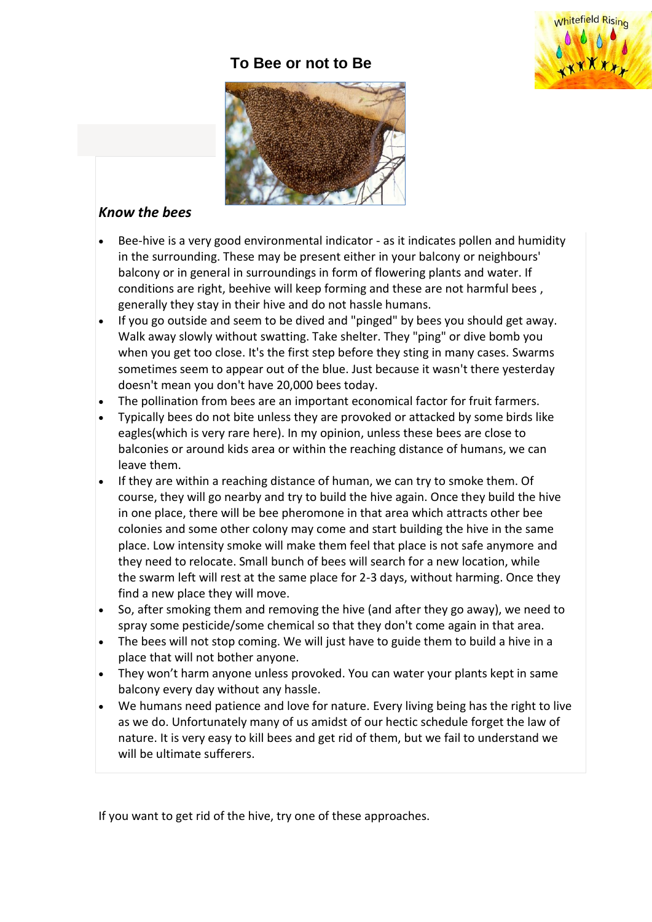# **To Bee or not to Be**





## *Know the bees*

- Bee-hive is a very good environmental indicator as it indicates pollen and humidity in the surrounding. These may be present either in your balcony or neighbours' balcony or in general in surroundings in form of flowering plants and water. If conditions are right, beehive will keep forming and these are not harmful bees , generally they stay in their hive and do not hassle humans.
- If you go outside and seem to be dived and "pinged" by bees you should get away. Walk away slowly without swatting. Take shelter. They "ping" or dive bomb you when you get too close. It's the first step before they sting in many cases. Swarms sometimes seem to appear out of the blue. Just because it wasn't there yesterday doesn't mean you don't have 20,000 bees today.
- The pollination from bees are an important economical factor for fruit farmers.
- Typically bees do not bite unless they are provoked or attacked by some birds like eagles(which is very rare here). In my opinion, unless these bees are close to balconies or around kids area or within the reaching distance of humans, we can leave them.
- If they are within a reaching distance of human, we can try to smoke them. Of course, they will go nearby and try to build the hive again. Once they build the hive in one place, there will be bee pheromone in that area which attracts other bee colonies and some other colony may come and start building the hive in the same place. Low intensity smoke will make them feel that place is not safe anymore and they need to relocate. Small bunch of bees will search for a new location, while the swarm left will rest at the same place for 2-3 days, without harming. Once they find a new place they will move.
- So, after smoking them and removing the hive (and after they go away), we need to spray some pesticide/some chemical so that they don't come again in that area.
- The bees will not stop coming. We will just have to guide them to build a hive in a place that will not bother anyone.
- They won't harm anyone unless provoked. You can water your plants kept in same balcony every day without any hassle.
- We humans need patience and love for nature. Every living being has the right to live as we do. Unfortunately many of us amidst of our hectic schedule forget the law of nature. It is very easy to kill bees and get rid of them, but we fail to understand we will be ultimate sufferers.

If you want to get rid of the hive, try one of these approaches.